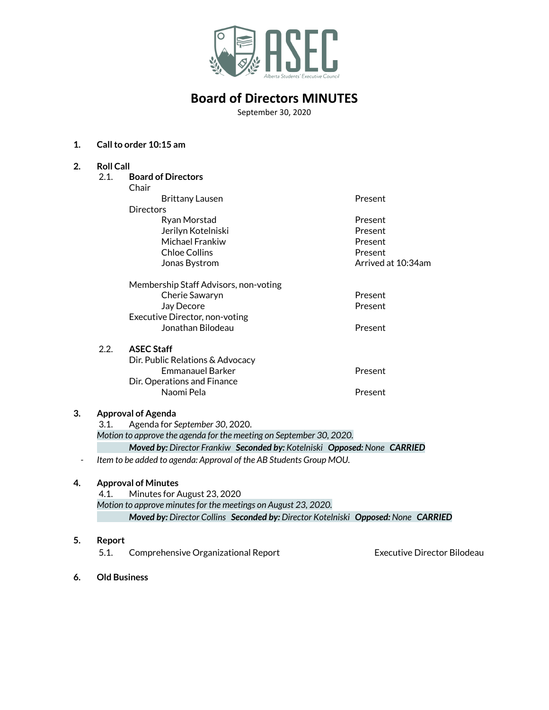

# **Board of Directors MINUTES**

September 30, 2020

## **1. Callto order 10:15 am**

| 2. | <b>Roll Call</b>                                                    |                                                                          |                    |
|----|---------------------------------------------------------------------|--------------------------------------------------------------------------|--------------------|
|    | 2.1.                                                                | <b>Board of Directors</b>                                                |                    |
|    |                                                                     | Chair                                                                    |                    |
|    |                                                                     | <b>Brittany Lausen</b>                                                   | Present            |
|    |                                                                     | <b>Directors</b>                                                         |                    |
|    |                                                                     | Ryan Morstad                                                             | Present            |
|    |                                                                     | Jerilyn Kotelniski                                                       | Present            |
|    |                                                                     | Michael Frankiw                                                          | Present            |
|    |                                                                     | <b>Chloe Collins</b>                                                     | Present            |
|    |                                                                     | Jonas Bystrom                                                            | Arrived at 10:34am |
|    |                                                                     | Membership Staff Advisors, non-voting                                    |                    |
|    |                                                                     | Cherie Sawaryn                                                           | Present            |
|    |                                                                     | Jay Decore                                                               | Present            |
|    |                                                                     | Executive Director, non-voting                                           |                    |
|    |                                                                     | Jonathan Bilodeau                                                        | Present            |
|    | 2.2.                                                                | <b>ASEC Staff</b>                                                        |                    |
|    |                                                                     | Dir. Public Relations & Advocacy                                         |                    |
|    |                                                                     | <b>Emmanauel Barker</b>                                                  | Present            |
|    |                                                                     | Dir. Operations and Finance                                              |                    |
|    |                                                                     | Naomi Pela                                                               | Present            |
| 3. | <b>Approval of Agenda</b>                                           |                                                                          |                    |
|    | Agenda for September 30, 2020.<br>3.1.                              |                                                                          |                    |
|    | Motion to approve the agenda for the meeting on September 30, 2020. |                                                                          |                    |
|    |                                                                     | Moved by: Director Frankiw Seconded by: Kotelniski Opposed: None CARRIED |                    |
|    | Item to be added to agenda: Approval of the AB Students Group MOU.  |                                                                          |                    |
| 4. | <b>Approval of Minutes</b>                                          |                                                                          |                    |
|    | 4.1.                                                                | Minutes for August 23, 2020                                              |                    |
|    |                                                                     | Motion to approve minutes for the meetings on August 23, 2020.           |                    |

*Moved by: Director Collins Seconded by: Director Kotelniski Opposed: None CARRIED*

## **5. Report**

5.1. Comprehensive Organizational Report Executive Director Bilodeau

**6. Old Business**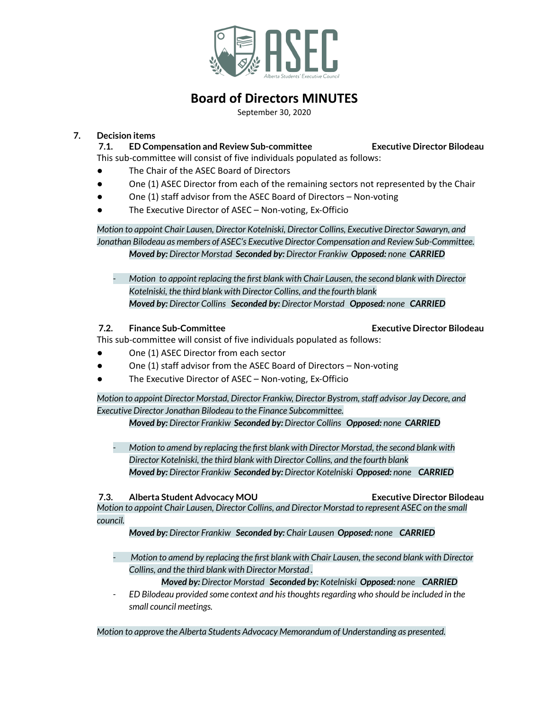

# **Board of Directors MINUTES**

September 30, 2020

# **7. Decision items**

**7.1. ED Compensation and Review Sub-committee Executive Director Bilodeau** This sub-committee will consist of five individuals populated as follows:

- The Chair of the ASEC Board of Directors
- One (1) ASEC Director from each of the remaining sectors not represented by the Chair
- One (1) staff advisor from the ASEC Board of Directors  $-$  Non-voting
- The Executive Director of ASEC Non-voting, Ex-Officio

*Motion to appoint Chair Lausen, Director Kotelniski, Director Collins, Executive Director Sawaryn, and Jonathan Bilodeau as members of ASEC's Executive Director Compensation and Review Sub-Committee. Moved by: Director Morstad Seconded by: Director Frankiw Opposed: none CARRIED*

*- Motion to appoint replacing the first blank with Chair Lausen, the second blank with Director Kotelniski, the third blank with Director Collins, and the fourth blank Moved by: Director Collins Seconded by: Director Morstad Opposed: none CARRIED*

# **7.2. Finance Sub-Committee Executive Director Bilodeau**

This sub-committee will consist of five individuals populated as follows:

- One (1) ASEC Director from each sector
- One (1) staff advisor from the ASEC Board of Directors Non-voting
- The Executive Director of ASEC Non-voting, Ex-Officio

*Motion to appoint Director Morstad, Director Frankiw, Director Bystrom,staff advisor Jay Decore, and Executive Director Jonathan Bilodeau to the Finance Subcommittee.*

*Moved by: Director Frankiw Seconded by: Director Collins Opposed: none CARRIED*

*- Motion to amend by replacing the first blank with Director Morstad, the second blank with Director Kotelniski, the third blank with Director Collins, and the fourth blank Moved by: Director Frankiw Seconded by: Director Kotelniski Opposed: none CARRIED*

**7.3. Alberta Student Advocacy MOU Executive Director Bilodeau**

*Motion to appoint Chair Lausen, Director Collins, and Director Morstad to represent ASEC on the small council.*

*Moved by: Director Frankiw Seconded by: Chair Lausen Opposed: none CARRIED*

*- Motion to amend by replacing the first blank with Chair Lausen, the second blank with Director Collins, and the third blank with Director Morstad .*

*Moved by: Director Morstad Seconded by: Kotelniski Opposed: none CARRIED*

*- ED Bilodeau provided some context and histhoughtsregarding who should be included in the small council meetings.*

*Motion to approve the Alberta Students Advocacy Memorandum of Understanding as presented.*